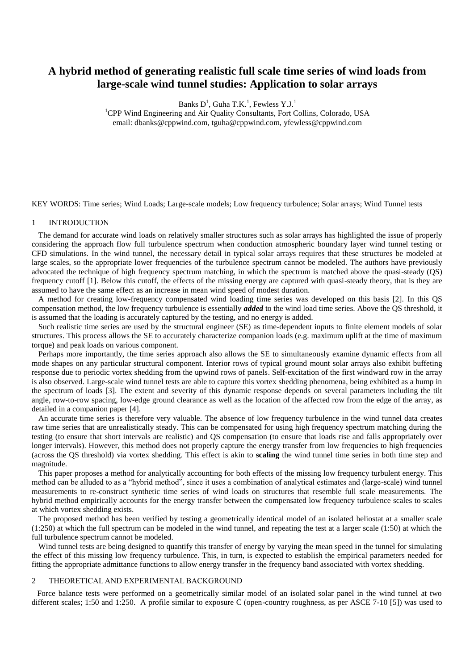# **A hybrid method of generating realistic full scale time series of wind loads from large-scale wind tunnel studies: Application to solar arrays**

Banks  $D^1$ , Guha T.K.<sup>1</sup>, Fewless Y.J.<sup>1</sup>

<sup>1</sup>CPP Wind Engineering and Air Quality Consultants, Fort Collins, Colorado, USA email: dbanks@cppwind.com, tguha@cppwind.com, yfewless@cppwind.com

KEY WORDS: Time series; Wind Loads; Large-scale models; Low frequency turbulence; Solar arrays; Wind Tunnel tests

## 1 INTRODUCTION

The demand for accurate wind loads on relatively smaller structures such as solar arrays has highlighted the issue of properly considering the approach flow full turbulence spectrum when conduction atmospheric boundary layer wind tunnel testing or CFD simulations. In the wind tunnel, the necessary detail in typical solar arrays requires that these structures be modeled at large scales, so the appropriate lower frequencies of the turbulence spectrum cannot be modeled. The authors have previously advocated the technique of high frequency spectrum matching, in which the spectrum is matched above the quasi-steady (QS) frequency cutoff [1]. Below this cutoff, the effects of the missing energy are captured with quasi-steady theory, that is they are assumed to have the same effect as an increase in mean wind speed of modest duration.

A method for creating low-frequency compensated wind loading time series was developed on this basis [2]. In this QS compensation method, the low frequency turbulence is essentially *added* to the wind load time series. Above the QS threshold, it is assumed that the loading is accurately captured by the testing, and no energy is added.

Such realistic time series are used by the structural engineer (SE) as time-dependent inputs to finite element models of solar structures. This process allows the SE to accurately characterize companion loads (e.g. maximum uplift at the time of maximum torque) and peak loads on various component.

Perhaps more importantly, the time series approach also allows the SE to simultaneously examine dynamic effects from all mode shapes on any particular structural component. Interior rows of typical ground mount solar arrays also exhibit buffeting response due to periodic vortex shedding from the upwind rows of panels. Self-excitation of the first windward row in the array is also observed. Large-scale wind tunnel tests are able to capture this vortex shedding phenomena, being exhibited as a hump in the spectrum of loads [3]. The extent and severity of this dynamic response depends on several parameters including the tilt angle, row-to-row spacing, low-edge ground clearance as well as the location of the affected row from the edge of the array, as detailed in a companion paper [4].

An accurate time series is therefore very valuable. The absence of low frequency turbulence in the wind tunnel data creates raw time series that are unrealistically steady. This can be compensated for using high frequency spectrum matching during the testing (to ensure that short intervals are realistic) and QS compensation (to ensure that loads rise and falls appropriately over longer intervals). However, this method does not properly capture the energy transfer from low frequencies to high frequencies (across the QS threshold) via vortex shedding. This effect is akin to **scaling** the wind tunnel time series in both time step and magnitude.

This paper proposes a method for analytically accounting for both effects of the missing low frequency turbulent energy. This method can be alluded to as a "hybrid method", since it uses a combination of analytical estimates and (large-scale) wind tunnel measurements to re-construct synthetic time series of wind loads on structures that resemble full scale measurements. The hybrid method empirically accounts for the energy transfer between the compensated low frequency turbulence scales to scales at which vortex shedding exists.

The proposed method has been verified by testing a geometrically identical model of an isolated heliostat at a smaller scale  $(1:250)$  at which the full spectrum can be modeled in the wind tunnel, and repeating the test at a larger scale  $(1:50)$  at which the full turbulence spectrum cannot be modeled.

Wind tunnel tests are being designed to quantify this transfer of energy by varying the mean speed in the tunnel for simulating the effect of this missing low frequency turbulence. This, in turn, is expected to establish the empirical parameters needed for fitting the appropriate admittance functions to allow energy transfer in the frequency band associated with vortex shedding.

### 2 THEORETICAL AND EXPERIMENTAL BACKGROUND

Force balance tests were performed on a geometrically similar model of an isolated solar panel in the wind tunnel at two different scales; 1:50 and 1:250. A profile similar to exposure C (open-country roughness, as per ASCE 7-10 [5]) was used to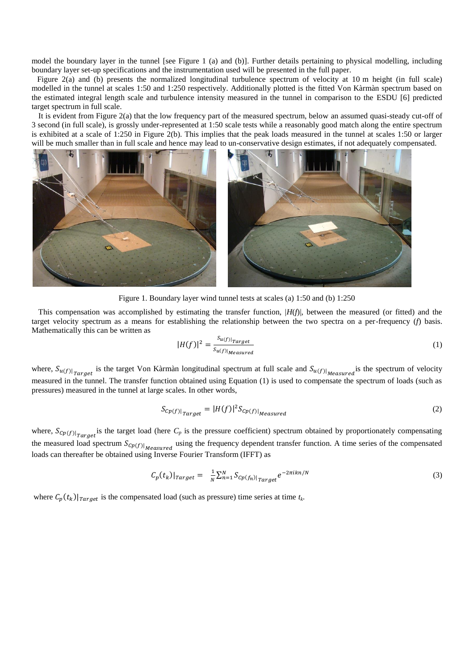model the boundary layer in the tunnel [see [Figure 1](#page-1-0) (a) and (b)]. Further details pertaining to physical modelling, including boundary layer set-up specifications and the instrumentation used will be presented in the full paper.

[Figure 2\(](#page-2-0)a) and (b) presents the normalized longitudinal turbulence spectrum of velocity at 10 m height (in full scale) modelled in the tunnel at scales 1:50 and 1:250 respectively. Additionally plotted is the fitted Von Kàrmàn spectrum based on the estimated integral length scale and turbulence intensity measured in the tunnel in comparison to the ESDU [6] predicted target spectrum in full scale.

It is evident from [Figure 2\(](#page-2-0)a) that the low frequency part of the measured spectrum, below an assumed quasi-steady cut-off of 3 second (in full scale), is grossly under-represented at 1:50 scale tests while a reasonably good match along the entire spectrum is exhibited at a scale of 1:250 in [Figure 2\(](#page-2-0)b). This implies that the peak loads measured in the tunnel at scales 1:50 or larger will be much smaller than in full scale and hence may lead to un-conservative design estimates, if not adequately compensated.



Figure 1. Boundary layer wind tunnel tests at scales (a) 1:50 and (b) 1:250

<span id="page-1-0"></span>This compensation was accomplished by estimating the transfer function,  $|H(f)|$ , between the measured (or fitted) and the target velocity spectrum as a means for establishing the relationship between the two spectra on a per-frequency (*f*) basis. Mathematically this can be written as

$$
|H(f)|^2 = \frac{s_{u(f)|_{Target}}}{s_{u(f)|_{Measured}}}
$$
(1)

where,  $S_{u(f)|_{Target}}$  is the target Von Kàrmàn longitudinal spectrum at full scale and  $S_{u(f)|_{Measured}}$  is the spectrum of velocity measured in the tunnel. The transfer function obtained using Equation (1) is used to compensate the spectrum of loads (such as pressures) measured in the tunnel at large scales. In other words,

$$
S_{\mathcal{C}p(f)|_{Target}} = |H(f)|^2 S_{\mathcal{C}p(f)|_{Measured}} \tag{2}
$$

where,  $S_{\mathcal{C}p(f)|_{Target}}$  is the target load (here  $C_p$  is the pressure coefficient) spectrum obtained by proportionately compensating the measured load spectrum  $S_{Cp(f)|_{\text{Measured}}}$  using the frequency dependent transfer function. A time series of the compensated loads can thereafter be obtained using Inverse Fourier Transform (IFFT) as

$$
C_p(t_k)|_{Target} = \frac{1}{N} \sum_{n=1}^{N} S_{cp(f_n)|_{Target}} e^{-2\pi i k n/N} \tag{3}
$$

where  $C_p(t_k)|_{Target}$  is the compensated load (such as pressure) time series at time  $t_k$ .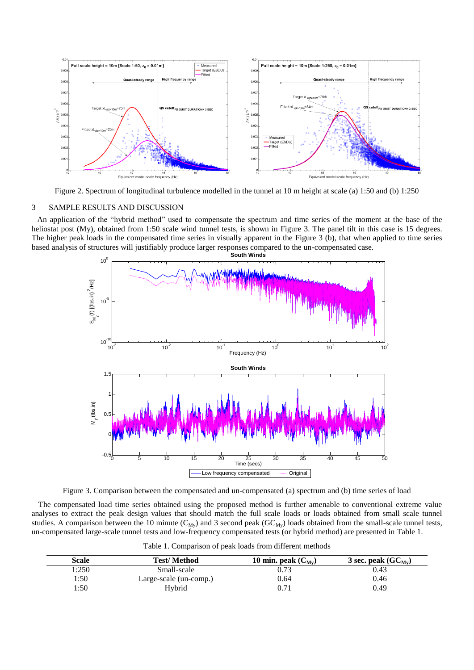

Figure 2. Spectrum of longitudinal turbulence modelled in the tunnel at 10 m height at scale (a) 1:50 and (b) 1:250

### <span id="page-2-0"></span>3 SAMPLE RESULTS AND DISCUSSION

An application of the "hybrid method" used to compensate the spectrum and time series of the moment at the base of the heliostat post (My), obtained from 1:50 scale wind tunnel tests, is shown in [Figure 3.](#page-2-1) The panel tilt in this case is 15 degrees. The higher peak loads in the compensated time series in visually apparent in the [Figure 3](#page-2-1) (b), that when applied to time series based analysis of structures will justifiably produce larger responses compared to the un-compensated case.



Figure 3. Comparison between the compensated and un-compensated (a) spectrum and (b) time series of load

<span id="page-2-1"></span>The compensated load time series obtained using the proposed method is further amenable to conventional extreme value analyses to extract the peak design values that should match the full scale loads or loads obtained from small scale tunnel studies. A comparison between the 10 minute ( $C_{My}$ ) and 3 second peak ( $GC_{My}$ ) loads obtained from the small-scale tunnel tests, un-compensated large-scale tunnel tests and low-frequency compensated tests (or hybrid method) are presented in Table 1.

|  |  |  | Table 1. Comparison of peak loads from different methods |  |
|--|--|--|----------------------------------------------------------|--|
|--|--|--|----------------------------------------------------------|--|

| Scale | <b>Test/Method</b>     | 10 min. peak $(C_{Mv})$ | 3 sec. peak $(GC_{Mv})$ |
|-------|------------------------|-------------------------|-------------------------|
| 1:250 | Small-scale            | 0.73                    | 0.43                    |
| 1:50  | Large-scale (un-comp.) | 0.64                    | 0.46                    |
| 1:50  | Hybrid                 | 0.71                    | 0.49                    |